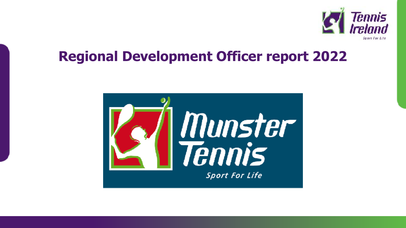

## **Regional Development Officer report 2022**

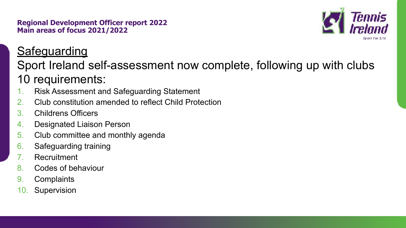**Regional Development Officer report 2022 Main areas of focus 2021/2022**



### **Safeguarding**

### Sport Ireland self-assessment now complete, following up with clubs 10 requirements:

- 1. Risk Assessment and Safeguarding Statement
- 2. Club constitution amended to reflect Child Protection
- 3. Childrens Officers
- 4. Designated Liaison Person
- 5. Club committee and monthly agenda
- 6. Safeguarding training
- 7. Recruitment
- 8. Codes of behaviour
- 9. Complaints
- 10. Supervision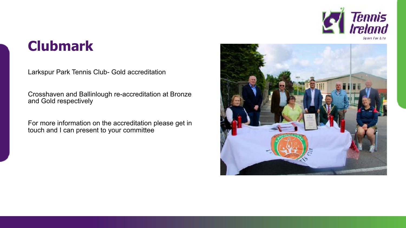

## **Clubmark**

Larkspur Park Tennis Club- Gold accreditation

Crosshaven and Ballinlough re-accreditation at Bronze and Gold respectively

For more information on the accreditation please get in touch and I can present to your committee

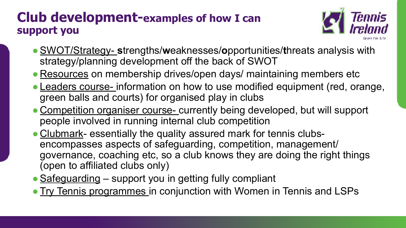#### **Club development-examples of how I can support you**



- ●SWOT/Strategy- **s**trengths/**w**eaknesses/**o**pportunities/**t**hreats analysis with strategy/planning development off the back of SWOT
- Resources on membership drives/open days/ maintaining members etc
- Leaders course- information on how to use modified equipment (red, orange, green balls and courts) for organised play in clubs
- Competition organiser course- currently being developed, but will support people involved in running internal club competition
- Clubmark- essentially the quality assured mark for tennis clubsencompasses aspects of safeguarding, competition, management/ governance, coaching etc, so a club knows they are doing the right things (open to affiliated clubs only)
- Safeguarding support you in getting fully compliant
- Try Tennis programmes in conjunction with Women in Tennis and LSPs